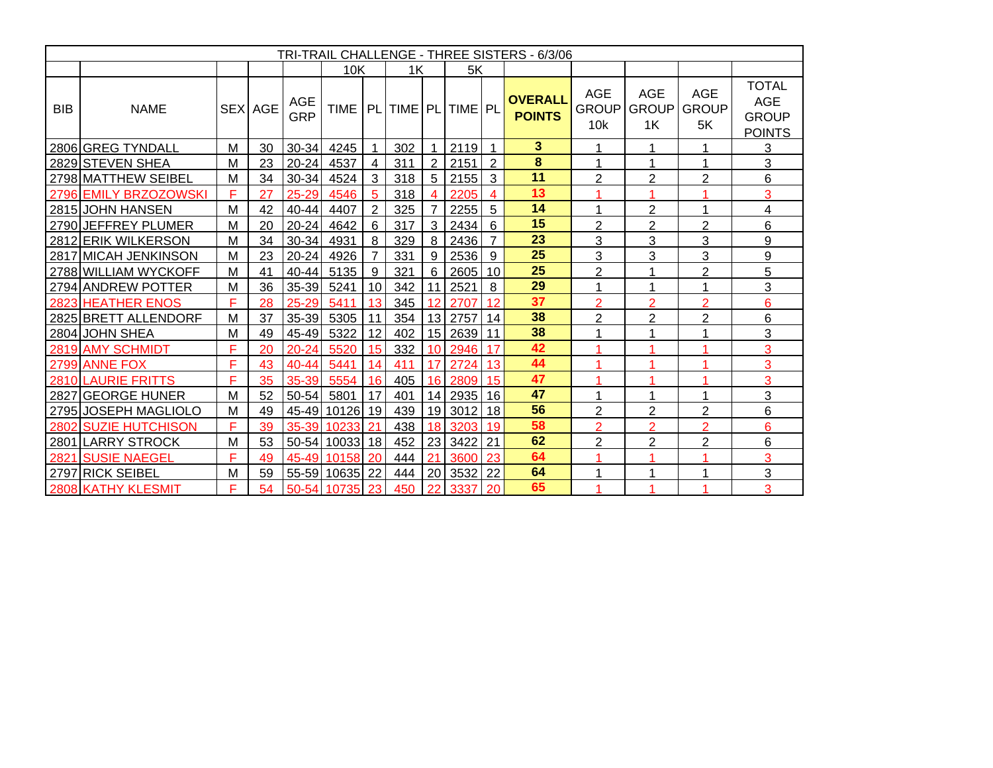| TRI-TRAIL CHALLENGE - THREE SISTERS - 6/3/06 |                       |   |                |                   |                                   |                |     |                 |            |                |                                 |                                               |                                  |                                  |                                                             |
|----------------------------------------------|-----------------------|---|----------------|-------------------|-----------------------------------|----------------|-----|-----------------|------------|----------------|---------------------------------|-----------------------------------------------|----------------------------------|----------------------------------|-------------------------------------------------------------|
|                                              |                       |   |                |                   | 10K                               |                | 1K  |                 | 5K         |                |                                 |                                               |                                  |                                  |                                                             |
| BIB                                          | <b>NAME</b>           |   | <b>SEX AGE</b> | AGE<br><b>GRP</b> | TIME   PL   TIME   PL   TIME   PL |                |     |                 |            |                | <b>OVERALL</b><br><b>POINTS</b> | <b>AGE</b><br><b>GROUP</b><br>10 <sub>k</sub> | <b>AGE</b><br><b>GROUP</b><br>1K | <b>AGE</b><br><b>GROUP</b><br>5K | <b>TOTAL</b><br><b>AGE</b><br><b>GROUP</b><br><b>POINTS</b> |
|                                              | 2806 GREG TYNDALL     | М | 30             |                   | 30-34 4245                        |                | 302 | -1              | $2119$ 1   |                | 3 <sup>5</sup>                  |                                               | 1                                | 1                                | 3                                                           |
|                                              | 2829 STEVEN SHEA      | М | 23             |                   | 20-24 4537                        | $\overline{4}$ | 311 | 2               | 2151       | $\sqrt{2}$     | 8                               |                                               | 1                                | 1                                | 3                                                           |
|                                              | 2798 MATTHEW SEIBEL   | M | 34             | $30 - 34$         | 4524                              | $\overline{3}$ | 318 |                 | $5$ 2155 3 |                | 11                              | $\overline{2}$                                | $\overline{2}$                   | $\overline{2}$                   | 6                                                           |
|                                              | 2796 EMILY BRZOZOWSKI | F | 27             | 25-29             | 4546                              | - 5            | 318 | $\overline{4}$  | 2205       | $\overline{4}$ | 13                              |                                               | 4                                | 4                                | 3                                                           |
|                                              | 2815 JOHN HANSEN      | M | 42             |                   | 40-44 4407                        | $\overline{2}$ | 325 | $\overline{7}$  | $2255$ 5   |                | 14                              |                                               | $\overline{2}$                   |                                  | 4                                                           |
|                                              | 2790 JEFFREY PLUMER   | M | 20             |                   | 20-24 4642                        | 6              | 317 | 3               | $2434$ 6   |                | 15                              | $\overline{2}$                                | $\overline{2}$                   | $\overline{2}$                   | 6                                                           |
|                                              | 2812 ERIK WILKERSON   | M | 34             | 30-34 4931        |                                   | -8             | 329 | 8               | 2436       | $\overline{7}$ | 23                              | 3                                             | 3                                | 3                                | 9                                                           |
|                                              | 2817 MICAH JENKINSON  | M | 23             |                   | 20-24 4926                        | $\overline{7}$ | 331 | 9               | $2536$ 9   |                | 25                              | 3                                             | 3                                | 3                                | 9                                                           |
|                                              | 2788 WILLIAM WYCKOFF  | M | 41             |                   | 40-44 5135                        | 9              | 321 | 6               | 2605 10    |                | 25                              | $\overline{2}$                                | 1                                | $\overline{2}$                   | 5                                                           |
|                                              | 2794 ANDREW POTTER    | M | 36             |                   | 35-39 5241                        | 10             | 342 | 11              | 2521       | -8             | 29                              |                                               | 1                                | 1                                | 3                                                           |
|                                              | 2823 HEATHER ENOS     | F | 28             | 25-29             | 5411                              | 13             | 345 | 12              | 2707       | 12             | 37                              | $\overline{2}$                                | $\overline{2}$                   | $\overline{2}$                   | 6                                                           |
|                                              | 2825 BRETT ALLENDORF  | M | 37             |                   | 35-39 5305                        | 11             | 354 | 13              | 2757       | 14             | 38                              | $\overline{2}$                                | $\overline{2}$                   | $\overline{2}$                   | 6                                                           |
|                                              | 2804 JOHN SHEA        | M | 49             |                   | 45-49 5322                        | 12             | 402 |                 | 15 2639 11 |                | 38                              |                                               | 1                                | 1                                | 3                                                           |
|                                              | 2819 AMY SCHMIDT      | F | 20             | 20-24             | 5520                              | 15             | 332 | 10 <sup>1</sup> | 2946       | 17             | 42                              |                                               | 4                                |                                  | 3                                                           |
|                                              | 2799 ANNE FOX         | F | 43             | 40-44             | 5441                              | 14             | 411 | 17              | 2724       | 13             | 44                              |                                               |                                  |                                  | 3                                                           |
|                                              | 2810 LAURIE FRITTS    | F | 35             | 35-39             | 5554                              | 16             | 405 | 16              | 2809       | 15             | 47                              |                                               | 4                                | 1                                | 3                                                           |
|                                              | 2827 GEORGE HUNER     | M | 52             | $50 - 54$         | 5801                              | 17             | 401 | 14              | 2935 16    |                | 47                              |                                               | 1                                | 1                                | 3                                                           |
|                                              | 2795 JOSEPH MAGLIOLO  | M | 49             |                   | 45-49 10126 19                    |                | 439 |                 | 19 3012 18 |                | 56                              | $\overline{2}$                                | $\overline{2}$                   | $\overline{2}$                   | 6                                                           |
|                                              | 2802 SUZIE HUTCHISON  | F | 39             |                   | 35-39 10233 21                    |                | 438 | 18 <sup>1</sup> | 3203       | 19             | 58                              | 2                                             | 2                                | $\overline{2}$                   | 6                                                           |
|                                              | 2801 LARRY STROCK     | M | 53             |                   | 50-54 10033 18                    |                | 452 | 23              | 3422       | 21             | 62                              | $\overline{2}$                                | $\overline{2}$                   | $\overline{2}$                   | 6                                                           |
|                                              | 2821 SUSIE NAEGEL     | F | 49             |                   | 45-49 10158 20                    |                | 444 | 21              | 3600       | 23             | 64                              |                                               |                                  | 1                                | 3                                                           |
|                                              | 2797 RICK SEIBEL      | м | 59             |                   | 55-59 10635 22                    |                | 444 | 20              | 3532       | 122            | 64                              |                                               | 1                                | 1                                | 3                                                           |
|                                              | 2808 KATHY KLESMIT    | F | 54             |                   | 50-54 10735                       | 23             | 450 | 22              | 3337       | 20             | 65                              |                                               |                                  |                                  | 3                                                           |